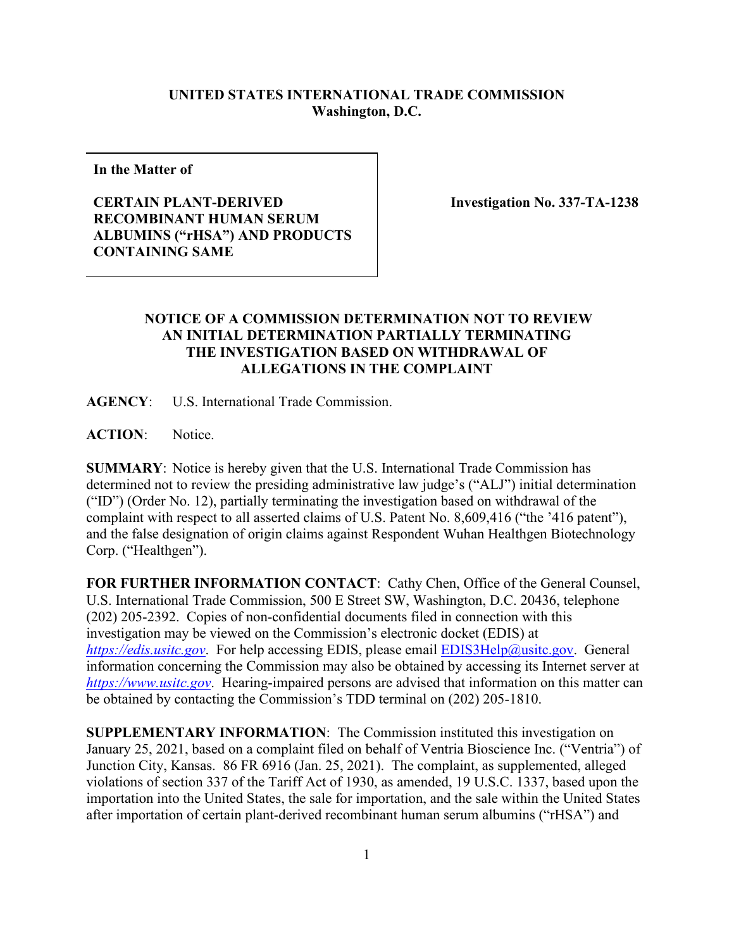## **UNITED STATES INTERNATIONAL TRADE COMMISSION Washington, D.C.**

**In the Matter of**

## **CERTAIN PLANT-DERIVED RECOMBINANT HUMAN SERUM ALBUMINS ("rHSA") AND PRODUCTS CONTAINING SAME**

 **Investigation No. 337-TA-1238**

## **NOTICE OF A COMMISSION DETERMINATION NOT TO REVIEW AN INITIAL DETERMINATION PARTIALLY TERMINATING THE INVESTIGATION BASED ON WITHDRAWAL OF ALLEGATIONS IN THE COMPLAINT**

**AGENCY**: U.S. International Trade Commission.

**ACTION**: Notice.

**SUMMARY**: Notice is hereby given that the U.S. International Trade Commission has determined not to review the presiding administrative law judge's ("ALJ") initial determination ("ID") (Order No. 12), partially terminating the investigation based on withdrawal of the complaint with respect to all asserted claims of U.S. Patent No. 8,609,416 ("the '416 patent"), and the false designation of origin claims against Respondent Wuhan Healthgen Biotechnology Corp. ("Healthgen").

**FOR FURTHER INFORMATION CONTACT**: Cathy Chen, Office of the General Counsel, U.S. International Trade Commission, 500 E Street SW, Washington, D.C. 20436, telephone (202) 205-2392. Copies of non-confidential documents filed in connection with this investigation may be viewed on the Commission's electronic docket (EDIS) at *[https://edis.usitc.gov](https://edis.usitc.gov/).* For help accessing EDIS, please email [EDIS3Help@usitc.gov.](mailto:EDIS3Help@usitc.gov) General information concerning the Commission may also be obtained by accessing its Internet server at *[https://www.usitc.gov](https://www.usitc.gov/)*. Hearing-impaired persons are advised that information on this matter can be obtained by contacting the Commission's TDD terminal on (202) 205-1810.

**SUPPLEMENTARY INFORMATION**: The Commission instituted this investigation on January 25, 2021, based on a complaint filed on behalf of Ventria Bioscience Inc. ("Ventria") of Junction City, Kansas. 86 FR 6916 (Jan. 25, 2021). The complaint, as supplemented, alleged violations of section 337 of the Tariff Act of 1930, as amended, 19 U.S.C. 1337, based upon the importation into the United States, the sale for importation, and the sale within the United States after importation of certain plant-derived recombinant human serum albumins ("rHSA") and